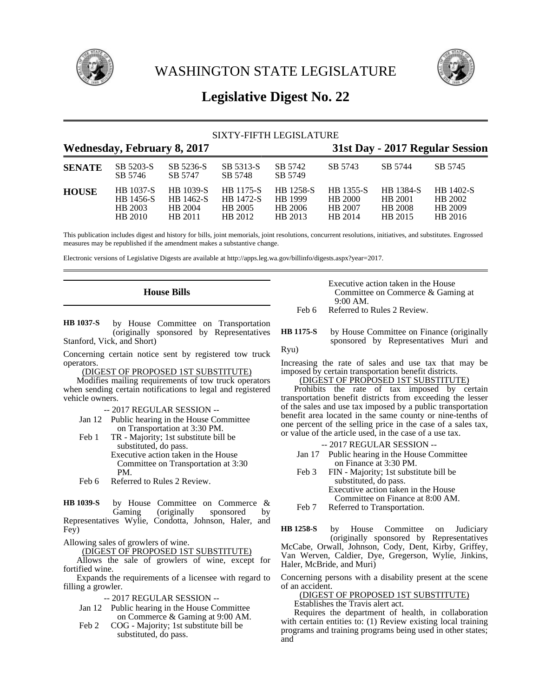



# **Legislative Digest No. 22**

| SIXTY-FIFTH LEGISLATURE |                                                     |                                              |                                              |                                            |                                            |                                                   |                                            |  |  |
|-------------------------|-----------------------------------------------------|----------------------------------------------|----------------------------------------------|--------------------------------------------|--------------------------------------------|---------------------------------------------------|--------------------------------------------|--|--|
|                         | <b>Wednesday, February 8, 2017</b>                  |                                              | 31st Day - 2017 Regular Session              |                                            |                                            |                                                   |                                            |  |  |
| <b>SENATE</b>           | SB 5203-S<br>SB 5746                                | SB 5236-S<br>SB 5747                         | SB 5313-S<br>SB 5748                         | SB 5742<br>SB 5749                         | SB 5743                                    | SB 5744                                           | SB 5745                                    |  |  |
| <b>HOUSE</b>            | <b>HB</b> 1037-S<br>HB 1456-S<br>HB 2003<br>HB 2010 | HB 1039-S<br>HB 1462-S<br>HB 2004<br>HB 2011 | HB 1175-S<br>HB 1472-S<br>HB 2005<br>HB 2012 | HB 1258-S<br>HB 1999<br>HB 2006<br>HB 2013 | HB 1355-S<br>HB 2000<br>HB 2007<br>HB 2014 | HB 1384-S<br>HB 2001<br><b>HB 2008</b><br>HB 2015 | HB 1402-S<br>HB 2002<br>HB 2009<br>HB 2016 |  |  |

This publication includes digest and history for bills, joint memorials, joint resolutions, concurrent resolutions, initiatives, and substitutes. Engrossed measures may be republished if the amendment makes a substantive change.

Electronic versions of Legislative Digests are available at http://apps.leg.wa.gov/billinfo/digests.aspx?year=2017.

# **House Bills**

by House Committee on Transportation (originally sponsored by Representatives Stanford, Vick, and Short) **HB 1037-S**

Concerning certain notice sent by registered tow truck operators.

(DIGEST OF PROPOSED 1ST SUBSTITUTE)

Modifies mailing requirements of tow truck operators when sending certain notifications to legal and registered vehicle owners.

-- 2017 REGULAR SESSION --

- Jan 12 Public hearing in the House Committee on Transportation at 3:30 PM.
- Feb 1 TR Majority; 1st substitute bill be substituted, do pass. Executive action taken in the House Committee on Transportation at 3:30 PM.
- Feb 6 Referred to Rules 2 Review.

by House Committee on Commerce & Gaming (originally sponsored by **HB 1039-S**

Representatives Wylie, Condotta, Johnson, Haler, and Fey)

Allowing sales of growlers of wine.

(DIGEST OF PROPOSED 1ST SUBSTITUTE)

Allows the sale of growlers of wine, except for fortified wine.

Expands the requirements of a licensee with regard to filling a growler.

-- 2017 REGULAR SESSION --

- Jan 12 Public hearing in the House Committee on Commerce & Gaming at 9:00 AM.
- Feb 2 COG Majority; 1st substitute bill be substituted, do pass.

Executive action taken in the House Committee on Commerce & Gaming at 9:00 AM.

Feb 6 Referred to Rules 2 Review.

by House Committee on Finance (originally sponsored by Representatives Muri and Ryu) **HB 1175-S**

Increasing the rate of sales and use tax that may be imposed by certain transportation benefit districts.

# (DIGEST OF PROPOSED 1ST SUBSTITUTE)

Prohibits the rate of tax imposed by certain transportation benefit districts from exceeding the lesser of the sales and use tax imposed by a public transportation benefit area located in the same county or nine-tenths of one percent of the selling price in the case of a sales tax, or value of the article used, in the case of a use tax.

-- 2017 REGULAR SESSION --

- Jan 17 Public hearing in the House Committee on Finance at 3:30 PM.
- Feb 3 FIN Majority; 1st substitute bill be substituted, do pass. Executive action taken in the House Committee on Finance at 8:00 AM.

Feb 7 Referred to Transportation.

by House Committee on Judiciary (originally sponsored by Representatives McCabe, Orwall, Johnson, Cody, Dent, Kirby, Griffey, Van Werven, Caldier, Dye, Gregerson, Wylie, Jinkins, Haler, McBride, and Muri) **HB 1258-S**

Concerning persons with a disability present at the scene of an accident.

(DIGEST OF PROPOSED 1ST SUBSTITUTE)

Establishes the Travis alert act.

Requires the department of health, in collaboration with certain entities to: (1) Review existing local training programs and training programs being used in other states; and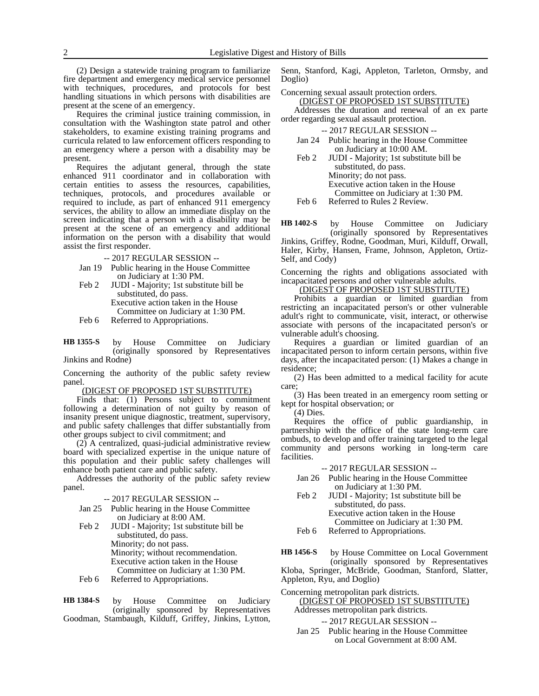(2) Design a statewide training program to familiarize fire department and emergency medical service personnel with techniques, procedures, and protocols for best handling situations in which persons with disabilities are present at the scene of an emergency.

Requires the criminal justice training commission, in consultation with the Washington state patrol and other stakeholders, to examine existing training programs and curricula related to law enforcement officers responding to an emergency where a person with a disability may be present.

Requires the adjutant general, through the state enhanced 911 coordinator and in collaboration with certain entities to assess the resources, capabilities, techniques, protocols, and procedures available or required to include, as part of enhanced 911 emergency services, the ability to allow an immediate display on the screen indicating that a person with a disability may be present at the scene of an emergency and additional information on the person with a disability that would assist the first responder.

- -- 2017 REGULAR SESSION --
- Jan 19 Public hearing in the House Committee on Judiciary at 1:30 PM.
- Feb 2 JUDI Majority; 1st substitute bill be substituted, do pass. Executive action taken in the House Committee on Judiciary at 1:30 PM.
- Feb 6 Referred to Appropriations.

by House Committee on Judiciary (originally sponsored by Representatives Jinkins and Rodne) **HB 1355-S**

Concerning the authority of the public safety review panel.

(DIGEST OF PROPOSED 1ST SUBSTITUTE)

Finds that: (1) Persons subject to commitment following a determination of not guilty by reason of insanity present unique diagnostic, treatment, supervisory, and public safety challenges that differ substantially from other groups subject to civil commitment; and

(2) A centralized, quasi-judicial administrative review board with specialized expertise in the unique nature of this population and their public safety challenges will enhance both patient care and public safety.

Addresses the authority of the public safety review panel.

- Jan 25 Public hearing in the House Committee on Judiciary at 8:00 AM.
- Feb 2 JUDI Majority; 1st substitute bill be substituted, do pass. Minority; do not pass. Minority; without recommendation. Executive action taken in the House Committee on Judiciary at 1:30 PM. Feb 6 Referred to Appropriations.

by House Committee on Judiciary (originally sponsored by Representatives Goodman, Stambaugh, Kilduff, Griffey, Jinkins, Lytton, **HB 1384-S**

Senn, Stanford, Kagi, Appleton, Tarleton, Ormsby, and Doglio)

Concerning sexual assault protection orders. (DIGEST OF PROPOSED 1ST SUBSTITUTE)

Addresses the duration and renewal of an ex parte order regarding sexual assault protection.

|  | -- 2017 REGULAR SESSION -- |  |  |  |  |
|--|----------------------------|--|--|--|--|
|--|----------------------------|--|--|--|--|

| Jan 24 Public hearing in the House Committee |
|----------------------------------------------|
| on Judiciary at 10:00 AM.                    |

Feb 2 JUDI - Majority; 1st substitute bill be substituted, do pass. Minority; do not pass. Executive action taken in the House Committee on Judiciary at 1:30 PM. Feb 6 Referred to Rules 2 Review.

by House Committee on Judiciary (originally sponsored by Representatives **HB 1402-S**

Jinkins, Griffey, Rodne, Goodman, Muri, Kilduff, Orwall, Haler, Kirby, Hansen, Frame, Johnson, Appleton, Ortiz-Self, and Cody)

Concerning the rights and obligations associated with incapacitated persons and other vulnerable adults.

(DIGEST OF PROPOSED 1ST SUBSTITUTE)

Prohibits a guardian or limited guardian from restricting an incapacitated person's or other vulnerable adult's right to communicate, visit, interact, or otherwise associate with persons of the incapacitated person's or vulnerable adult's choosing.

Requires a guardian or limited guardian of an incapacitated person to inform certain persons, within five days, after the incapacitated person: (1) Makes a change in residence;

(2) Has been admitted to a medical facility for acute care;

(3) Has been treated in an emergency room setting or kept for hospital observation; or

(4) Dies.

Requires the office of public guardianship, in partnership with the office of the state long-term care ombuds, to develop and offer training targeted to the legal community and persons working in long-term care facilities.

-- 2017 REGULAR SESSION --

- Jan 26 Public hearing in the House Committee on Judiciary at 1:30 PM.
- Feb 2 JUDI Majority; 1st substitute bill be substituted, do pass.

Executive action taken in the House Committee on Judiciary at 1:30 PM.

Feb 6 Referred to Appropriations.

by House Committee on Local Government (originally sponsored by Representatives **HB 1456-S**

Kloba, Springer, McBride, Goodman, Stanford, Slatter, Appleton, Ryu, and Doglio)

## Concerning metropolitan park districts. (DIGEST OF PROPOSED 1ST SUBSTITUTE) Addresses metropolitan park districts.

-- 2017 REGULAR SESSION --

Jan 25 Public hearing in the House Committee on Local Government at 8:00 AM.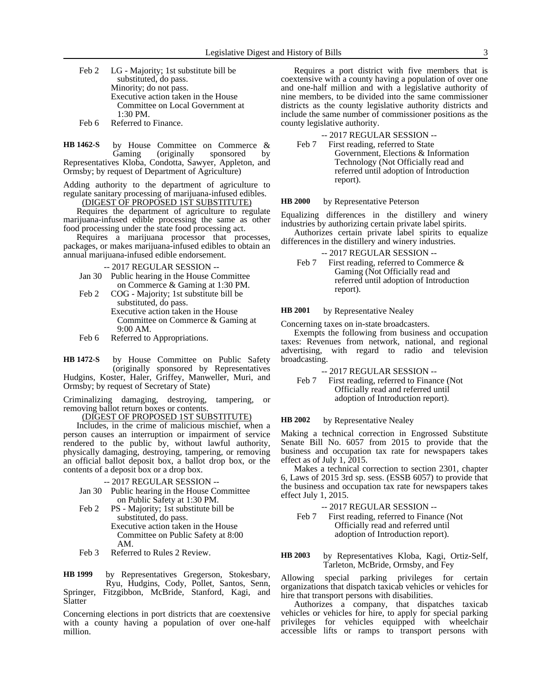Feb 2 LG - Majority; 1st substitute bill be substituted, do pass. Minority; do not pass. Executive action taken in the House Committee on Local Government at 1:30 PM. Feb 6 Referred to Finance.

by House Committee on Commerce &<br>Gaming (originally sponsored by (originally sponsored by Representatives Kloba, Condotta, Sawyer, Appleton, and Ormsby; by request of Department of Agriculture) **HB 1462-S**

Adding authority to the department of agriculture to regulate sanitary processing of marijuana-infused edibles.

(DIGEST OF PROPOSED 1ST SUBSTITUTE)

Requires the department of agriculture to regulate marijuana-infused edible processing the same as other food processing under the state food processing act.

Requires a marijuana processor that processes, packages, or makes marijuana-infused edibles to obtain an annual marijuana-infused edible endorsement.

-- 2017 REGULAR SESSION --

- Jan 30 Public hearing in the House Committee on Commerce & Gaming at 1:30 PM.
- Feb 2 COG Majority; 1st substitute bill be substituted, do pass. Executive action taken in the House Committee on Commerce & Gaming at 9:00 AM.
- Feb 6 Referred to Appropriations.

by House Committee on Public Safety (originally sponsored by Representatives Hudgins, Koster, Haler, Griffey, Manweller, Muri, and Ormsby; by request of Secretary of State) **HB 1472-S**

Criminalizing damaging, destroying, tampering, or removing ballot return boxes or contents.

(DIGEST OF PROPOSED 1ST SUBSTITUTE)

Includes, in the crime of malicious mischief, when a person causes an interruption or impairment of service rendered to the public by, without lawful authority, physically damaging, destroying, tampering, or removing an official ballot deposit box, a ballot drop box, or the contents of a deposit box or a drop box.

-- 2017 REGULAR SESSION --

- Jan 30 Public hearing in the House Committee on Public Safety at 1:30 PM.
- Feb 2 PS Majority; 1st substitute bill be substituted, do pass. Executive action taken in the House
	- Committee on Public Safety at 8:00 AM.
- Feb 3 Referred to Rules 2 Review.

by Representatives Gregerson, Stokesbary, Ryu, Hudgins, Cody, Pollet, Santos, Senn, Springer, Fitzgibbon, McBride, Stanford, Kagi, and Slatter **HB 1999**

Concerning elections in port districts that are coextensive with a county having a population of over one-half million.

Requires a port district with five members that is coextensive with a county having a population of over one and one-half million and with a legislative authority of nine members, to be divided into the same commissioner districts as the county legislative authority districts and include the same number of commissioner positions as the county legislative authority.

-- 2017 REGULAR SESSION --

Feb 7 First reading, referred to State Government, Elections & Information Technology (Not Officially read and referred until adoption of Introduction report).

by Representative Peterson **HB 2000**

Equalizing differences in the distillery and winery industries by authorizing certain private label spirits.

Authorizes certain private label spirits to equalize differences in the distillery and winery industries.

-- 2017 REGULAR SESSION --

Feb 7 First reading, referred to Commerce & Gaming (Not Officially read and referred until adoption of Introduction report).

by Representative Nealey **HB 2001**

Concerning taxes on in-state broadcasters.

Exempts the following from business and occupation taxes: Revenues from network, national, and regional advertising, with regard to radio and television broadcasting.

- -- 2017 REGULAR SESSION --
- Feb 7 First reading, referred to Finance (Not Officially read and referred until adoption of Introduction report).

by Representative Nealey **HB 2002**

Making a technical correction in Engrossed Substitute Senate Bill No. 6057 from 2015 to provide that the business and occupation tax rate for newspapers takes effect as of July 1, 2015.

Makes a technical correction to section 2301, chapter 6, Laws of 2015 3rd sp. sess. (ESSB 6057) to provide that the business and occupation tax rate for newspapers takes effect July 1, 2015.

-- 2017 REGULAR SESSION --

Feb 7 First reading, referred to Finance (Not Officially read and referred until adoption of Introduction report).

by Representatives Kloba, Kagi, Ortiz-Self, Tarleton, McBride, Ormsby, and Fey **HB 2003**

Allowing special parking privileges for certain organizations that dispatch taxicab vehicles or vehicles for hire that transport persons with disabilities.

Authorizes a company, that dispatches taxicab vehicles or vehicles for hire, to apply for special parking privileges for vehicles equipped with wheelchair accessible lifts or ramps to transport persons with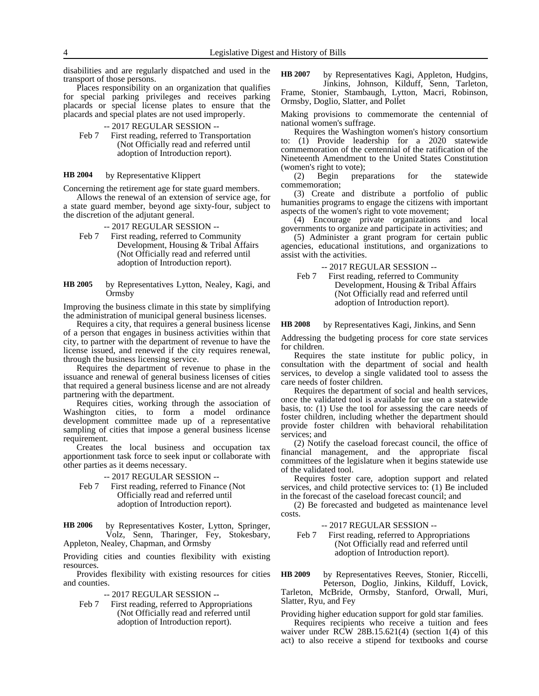disabilities and are regularly dispatched and used in the transport of those persons.

Places responsibility on an organization that qualifies for special parking privileges and receives parking placards or special license plates to ensure that the placards and special plates are not used improperly.

- -- 2017 REGULAR SESSION --
- Feb 7 First reading, referred to Transportation (Not Officially read and referred until adoption of Introduction report).

#### by Representative Klippert **HB 2004**

Concerning the retirement age for state guard members.

Allows the renewal of an extension of service age, for a state guard member, beyond age sixty-four, subject to the discretion of the adjutant general.

- -- 2017 REGULAR SESSION --
- Feb 7 First reading, referred to Community Development, Housing & Tribal Affairs (Not Officially read and referred until adoption of Introduction report).
- by Representatives Lytton, Nealey, Kagi, and Ormsby **HB 2005**

Improving the business climate in this state by simplifying the administration of municipal general business licenses.

Requires a city, that requires a general business license of a person that engages in business activities within that city, to partner with the department of revenue to have the license issued, and renewed if the city requires renewal, through the business licensing service.

Requires the department of revenue to phase in the issuance and renewal of general business licenses of cities that required a general business license and are not already partnering with the department.

Requires cities, working through the association of Washington cities, to form a model ordinance development committee made up of a representative sampling of cities that impose a general business license requirement.

Creates the local business and occupation tax apportionment task force to seek input or collaborate with other parties as it deems necessary.

-- 2017 REGULAR SESSION --

- Feb 7 First reading, referred to Finance (Not Officially read and referred until adoption of Introduction report).
- by Representatives Koster, Lytton, Springer, Volz, Senn, Tharinger, Fey, Stokesbary, **HB 2006**

Appleton, Nealey, Chapman, and Ormsby

Providing cities and counties flexibility with existing resources.

Provides flexibility with existing resources for cities and counties.

-- 2017 REGULAR SESSION --

Feb 7 First reading, referred to Appropriations (Not Officially read and referred until adoption of Introduction report).

by Representatives Kagi, Appleton, Hudgins, Jinkins, Johnson, Kilduff, Senn, Tarleton, Frame, Stonier, Stambaugh, Lytton, Macri, Robinson, Ormsby, Doglio, Slatter, and Pollet **HB 2007**

Making provisions to commemorate the centennial of national women's suffrage.

Requires the Washington women's history consortium to: (1) Provide leadership for a 2020 statewide commemoration of the centennial of the ratification of the Nineteenth Amendment to the United States Constitution (women's right to vote);

(2) Begin preparations for the statewide commemoration;

(3) Create and distribute a portfolio of public humanities programs to engage the citizens with important aspects of the women's right to vote movement;

(4) Encourage private organizations and local governments to organize and participate in activities; and

(5) Administer a grant program for certain public agencies, educational institutions, and organizations to assist with the activities.

-- 2017 REGULAR SESSION --

Feb 7 First reading, referred to Community Development, Housing & Tribal Affairs (Not Officially read and referred until adoption of Introduction report).

#### by Representatives Kagi, Jinkins, and Senn **HB 2008**

Addressing the budgeting process for core state services for children.

Requires the state institute for public policy, in consultation with the department of social and health services, to develop a single validated tool to assess the care needs of foster children.

Requires the department of social and health services, once the validated tool is available for use on a statewide basis, to: (1) Use the tool for assessing the care needs of foster children, including whether the department should provide foster children with behavioral rehabilitation services; and

(2) Notify the caseload forecast council, the office of financial management, and the appropriate fiscal committees of the legislature when it begins statewide use of the validated tool.

Requires foster care, adoption support and related services, and child protective services to: (1) Be included in the forecast of the caseload forecast council; and

(2) Be forecasted and budgeted as maintenance level costs.

-- 2017 REGULAR SESSION --

Feb 7 First reading, referred to Appropriations (Not Officially read and referred until adoption of Introduction report).

by Representatives Reeves, Stonier, Riccelli, Peterson, Doglio, Jinkins, Kilduff, Lovick, Tarleton, McBride, Ormsby, Stanford, Orwall, Muri, Slatter, Ryu, and Fey **HB 2009**

Providing higher education support for gold star families.

Requires recipients who receive a tuition and fees waiver under RCW 28B.15.621(4) (section 1(4) of this act) to also receive a stipend for textbooks and course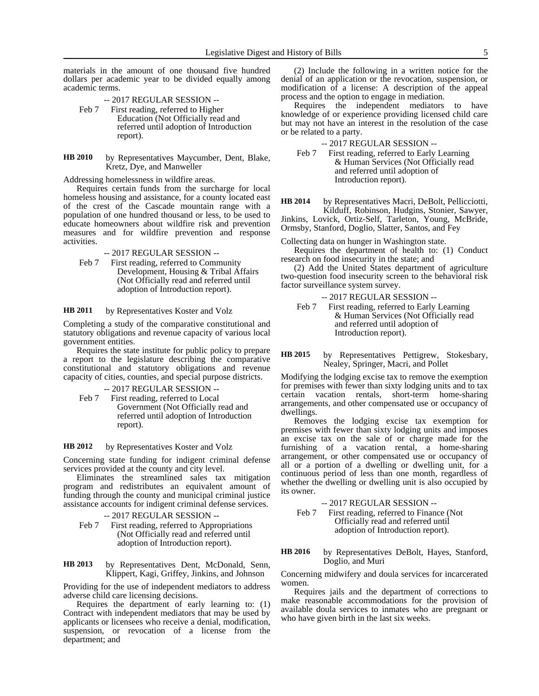materials in the amount of one thousand five hundred dollars per academic year to be divided equally among academic terms.

-- 2017 REGULAR SESSION --

- Feb 7 First reading, referred to Higher Education (Not Officially read and referred until adoption of Introduction report).
- by Representatives Maycumber, Dent, Blake, Kretz, Dye, and Manweller **HB 2010**

Addressing homelessness in wildfire areas.

Requires certain funds from the surcharge for local homeless housing and assistance, for a county located east of the crest of the Cascade mountain range with a population of one hundred thousand or less, to be used to educate homeowners about wildfire risk and prevention measures and for wildfire prevention and response activities.

-- 2017 REGULAR SESSION --

Feb 7 First reading, referred to Community Development, Housing & Tribal Affairs (Not Officially read and referred until adoption of Introduction report).

by Representatives Koster and Volz **HB 2011**

Completing a study of the comparative constitutional and statutory obligations and revenue capacity of various local government entities.

Requires the state institute for public policy to prepare a report to the legislature describing the comparative constitutional and statutory obligations and revenue capacity of cities, counties, and special purpose districts.

-- 2017 REGULAR SESSION --

Feb 7 First reading, referred to Local Government (Not Officially read and referred until adoption of Introduction report).

by Representatives Koster and Volz **HB 2012**

Concerning state funding for indigent criminal defense services provided at the county and city level.

Eliminates the streamlined sales tax mitigation program and redistributes an equivalent amount of funding through the county and municipal criminal justice assistance accounts for indigent criminal defense services.

- -- 2017 REGULAR SESSION --
- Feb 7 First reading, referred to Appropriations (Not Officially read and referred until adoption of Introduction report).
- by Representatives Dent, McDonald, Senn, Klippert, Kagi, Griffey, Jinkins, and Johnson **HB 2013**

Providing for the use of independent mediators to address adverse child care licensing decisions.

Requires the department of early learning to: (1) Contract with independent mediators that may be used by applicants or licensees who receive a denial, modification, suspension, or revocation of a license from the department; and

(2) Include the following in a written notice for the denial of an application or the revocation, suspension, or modification of a license: A description of the appeal process and the option to engage in mediation.

Requires the independent mediators to have knowledge of or experience providing licensed child care but may not have an interest in the resolution of the case or be related to a party.

-- 2017 REGULAR SESSION --

Feb 7 First reading, referred to Early Learning & Human Services (Not Officially read and referred until adoption of Introduction report).

by Representatives Macri, DeBolt, Pellicciotti, Kilduff, Robinson, Hudgins, Stonier, Sawyer, **HB 2014**

Jinkins, Lovick, Ortiz-Self, Tarleton, Young, McBride, Ormsby, Stanford, Doglio, Slatter, Santos, and Fey

Collecting data on hunger in Washington state.

Requires the department of health to: (1) Conduct research on food insecurity in the state; and

(2) Add the United States department of agriculture two-question food insecurity screen to the behavioral risk factor surveillance system survey.

- -- 2017 REGULAR SESSION --
- Feb 7 First reading, referred to Early Learning & Human Services (Not Officially read and referred until adoption of Introduction report).

by Representatives Pettigrew, Stokesbary, Nealey, Springer, Macri, and Pollet **HB 2015**

Modifying the lodging excise tax to remove the exemption for premises with fewer than sixty lodging units and to tax certain vacation rentals, short-term home-sharing arrangements, and other compensated use or occupancy of dwellings.

Removes the lodging excise tax exemption for premises with fewer than sixty lodging units and imposes an excise tax on the sale of or charge made for the furnishing of a vacation rental, a home-sharing arrangement, or other compensated use or occupancy of all or a portion of a dwelling or dwelling unit, for a continuous period of less than one month, regardless of whether the dwelling or dwelling unit is also occupied by its owner.

-- 2017 REGULAR SESSION --

Feb 7 First reading, referred to Finance (Not Officially read and referred until adoption of Introduction report).

by Representatives DeBolt, Hayes, Stanford, Doglio, and Muri **HB 2016**

Concerning midwifery and doula services for incarcerated women.

Requires jails and the department of corrections to make reasonable accommodations for the provision of available doula services to inmates who are pregnant or who have given birth in the last six weeks.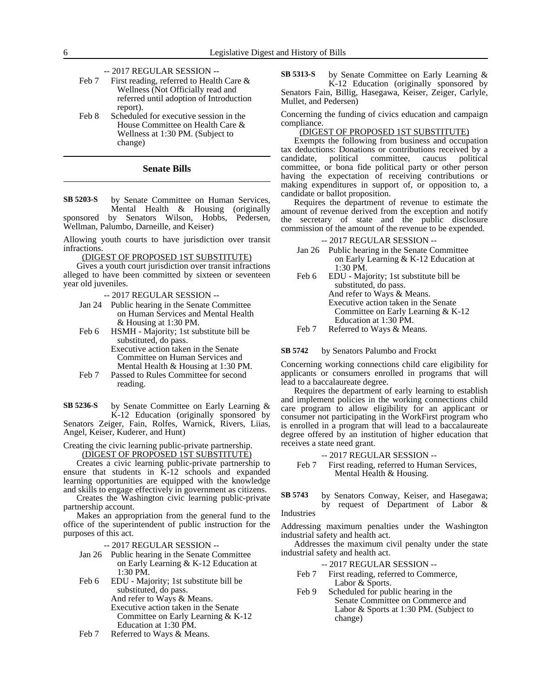- -- 2017 REGULAR SESSION --
- Feb 7 First reading, referred to Health Care & Wellness (Not Officially read and referred until adoption of Introduction report).
- Feb 8 Scheduled for executive session in the House Committee on Health Care & Wellness at 1:30 PM. (Subject to change)

## **Senate Bills**

by Senate Committee on Human Services, Mental Health & Housing (originally sponsored by Senators Wilson, Hobbs, Pedersen, Wellman, Palumbo, Darneille, and Keiser) **SB 5203-S**

Allowing youth courts to have jurisdiction over transit infractions.

(DIGEST OF PROPOSED 1ST SUBSTITUTE)

Gives a youth court jurisdiction over transit infractions alleged to have been committed by sixteen or seventeen year old juveniles.

-- 2017 REGULAR SESSION --

- Jan 24 Public hearing in the Senate Committee on Human Services and Mental Health & Housing at 1:30 PM.
- Feb 6 HSMH Majority; 1st substitute bill be substituted, do pass.

Executive action taken in the Senate Committee on Human Services and Mental Health & Housing at 1:30 PM.

Feb 7 Passed to Rules Committee for second reading.

by Senate Committee on Early Learning & K-12 Education (originally sponsored by Senators Zeiger, Fain, Rolfes, Warnick, Rivers, Liias, Angel, Keiser, Kuderer, and Hunt) **SB 5236-S**

Creating the civic learning public-private partnership.

(DIGEST OF PROPOSED 1ST SUBSTITUTE)

Creates a civic learning public-private partnership to ensure that students in K-12 schools and expanded learning opportunities are equipped with the knowledge and skills to engage effectively in government as citizens.

Creates the Washington civic learning public-private partnership account.

Makes an appropriation from the general fund to the office of the superintendent of public instruction for the purposes of this act.

-- 2017 REGULAR SESSION --

Jan 26 Public hearing in the Senate Committee on Early Learning & K-12 Education at 1:30 PM.

Feb 6 EDU - Majority; 1st substitute bill be substituted, do pass. And refer to Ways & Means. Executive action taken in the Senate Committee on Early Learning & K-12 Education at 1:30 PM.

Feb 7 Referred to Ways & Means.

by Senate Committee on Early Learning & K-12 Education (originally sponsored by Senators Fain, Billig, Hasegawa, Keiser, Zeiger, Carlyle, Mullet, and Pedersen) **SB 5313-S**

Concerning the funding of civics education and campaign compliance.

# (DIGEST OF PROPOSED 1ST SUBSTITUTE)

Exempts the following from business and occupation tax deductions: Donations or contributions received by a candidate, political committee, caucus political committee, or bona fide political party or other person having the expectation of receiving contributions or making expenditures in support of, or opposition to, a candidate or ballot proposition.

Requires the department of revenue to estimate the amount of revenue derived from the exception and notify the secretary of state and the public disclosure commission of the amount of the revenue to be expended.

-- 2017 REGULAR SESSION --

- Jan 26 Public hearing in the Senate Committee on Early Learning & K-12 Education at 1:30 PM.
- Feb 6 EDU Majority; 1st substitute bill be substituted, do pass. And refer to Ways & Means. Executive action taken in the Senate Committee on Early Learning & K-12 Education at 1:30 PM.
- Feb 7 Referred to Ways & Means.

#### by Senators Palumbo and Frockt **SB 5742**

Concerning working connections child care eligibility for applicants or consumers enrolled in programs that will lead to a baccalaureate degree.

Requires the department of early learning to establish and implement policies in the working connections child care program to allow eligibility for an applicant or consumer not participating in the WorkFirst program who is enrolled in a program that will lead to a baccalaureate degree offered by an institution of higher education that receives a state need grant.

-- 2017 REGULAR SESSION --

- Feb 7 First reading, referred to Human Services, Mental Health & Housing.
- by Senators Conway, Keiser, and Hasegawa; by request of Department of Labor & Industries **SB 5743**

Addressing maximum penalties under the Washington industrial safety and health act.

Addresses the maximum civil penalty under the state industrial safety and health act.

-- 2017 REGULAR SESSION --

- Feb 7 First reading, referred to Commerce, Labor & Sports.
- Feb 9 Scheduled for public hearing in the Senate Committee on Commerce and Labor & Sports at 1:30 PM. (Subject to change)